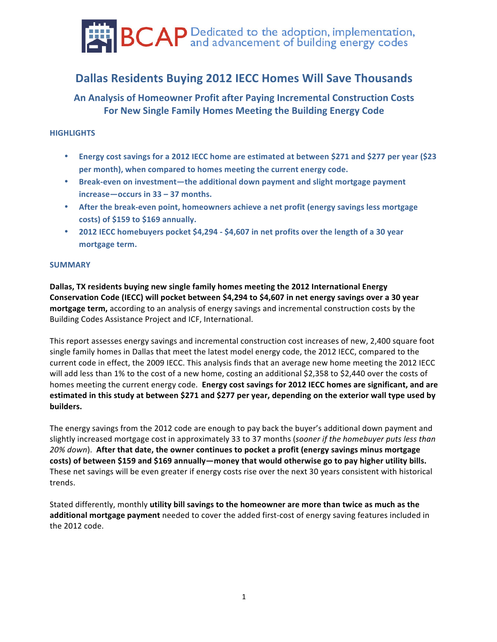

# **Dallas Residents Buying 2012 IECC Homes Will Save Thousands**

**An Analysis of Homeowner Profit after Paying Incremental Construction Costs** For New Single Family Homes Meeting the Building Energy Code

# **HIGHLIGHTS**

- Energy cost savings for a 2012 IECC home are estimated at between \$271 and \$277 per year (\$23 per month), when compared to homes meeting the current energy code.
- **Break-even on investment—the additional down payment and slight mortgage payment increase**—occurs in 33 – 37 months.
- After the break-even point, homeowners achieve a net profit (energy savings less mortgage **costs) of \$159 to \$169 annually.**
- **2012 IECC homebuyers pocket \$4,294 \$4,607 in net profits over the length of a 30 year** mortgage term.

## **SUMMARY**

**Dallas, TX** residents buying new single family homes meeting the 2012 International Energy **Conservation Code (IECC) will pocket between \$4,294 to \$4,607 in net energy savings over a 30 year mortgage term,** according to an analysis of energy savings and incremental construction costs by the Building Codes Assistance Project and ICF, International.

This report assesses energy savings and incremental construction cost increases of new, 2,400 square foot single family homes in Dallas that meet the latest model energy code, the 2012 IECC, compared to the current code in effect, the 2009 IECC. This analysis finds that an average new home meeting the 2012 IECC will add less than 1% to the cost of a new home, costing an additional \$2,358 to \$2,440 over the costs of homes meeting the current energy code. **Energy cost savings for 2012 IECC homes are significant, and are** estimated in this study at between \$271 and \$277 per year, depending on the exterior wall type used by **builders.!**

The energy savings from the 2012 code are enough to pay back the buyer's additional down payment and slightly increased mortgage cost in approximately 33 to 37 months (*sooner if the homebuyer puts less than* 20%  $down$ ). After that date, the owner continues to pocket a profit (energy savings minus mortgage costs) of between \$159 and \$169 annually—money that would otherwise go to pay higher utility bills. These net savings will be even greater if energy costs rise over the next 30 years consistent with historical trends.

Stated differently, monthly utility bill savings to the homeowner are more than twice as much as the **additional mortgage payment** needed to cover the added first-cost of energy saving features included in the 2012 code.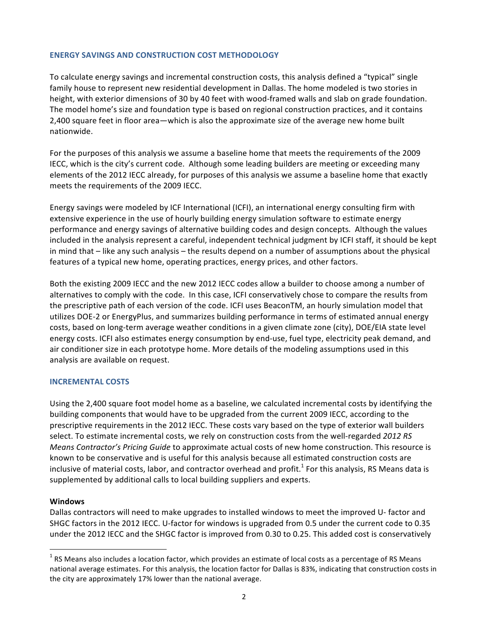## **ENERGY SAVINGS AND CONSTRUCTION COST METHODOLOGY**

To calculate energy savings and incremental construction costs, this analysis defined a "typical" single family house to represent new residential development in Dallas. The home modeled is two stories in height, with exterior dimensions of 30 by 40 feet with wood-framed walls and slab on grade foundation. The model home's size and foundation type is based on regional construction practices, and it contains 2,400 square feet in floor area—which is also the approximate size of the average new home built nationwide.

For the purposes of this analysis we assume a baseline home that meets the requirements of the 2009 IECC, which is the city's current code. Although some leading builders are meeting or exceeding many elements of the 2012 IECC already, for purposes of this analysis we assume a baseline home that exactly meets the requirements of the 2009 IECC.

Energy savings were modeled by ICF International (ICFI), an international energy consulting firm with extensive experience in the use of hourly building energy simulation software to estimate energy performance and energy savings of alternative building codes and design concepts. Although the values included in the analysis represent a careful, independent technical judgment by ICFI staff, it should be kept in mind that – like any such analysis – the results depend on a number of assumptions about the physical features of a typical new home, operating practices, energy prices, and other factors.

Both the existing 2009 IECC and the new 2012 IECC codes allow a builder to choose among a number of alternatives to comply with the code. In this case, ICFI conservatively chose to compare the results from the prescriptive path of each version of the code. ICFI uses BeaconTM, an hourly simulation model that utilizes DOE-2 or EnergyPlus, and summarizes building performance in terms of estimated annual energy costs, based on long-term average weather conditions in a given climate zone (city), DOE/EIA state level energy costs. ICFI also estimates energy consumption by end-use, fuel type, electricity peak demand, and air conditioner size in each prototype home. More details of the modeling assumptions used in this analysis are available on request.

#### **INCREMENTAL!COSTS**

Using the 2,400 square foot model home as a baseline, we calculated incremental costs by identifying the building components that would have to be upgraded from the current 2009 IECC, according to the prescriptive requirements in the 2012 IECC. These costs vary based on the type of exterior wall builders select. To estimate incremental costs, we rely on construction costs from the well-regarded 2012 RS *Means Contractor's Pricing Guide* to approximate actual costs of new home construction. This resource is known to be conservative and is useful for this analysis because all estimated construction costs are inclusive of material costs, labor, and contractor overhead and profit.<sup>1</sup> For this analysis, RS Means data is supplemented by additional calls to local building suppliers and experts.

#### **Windows**

Dallas contractors will need to make upgrades to installed windows to meet the improved U-factor and SHGC factors in the 2012 IECC. U-factor for windows is upgraded from 0.5 under the current code to 0.35 under the 2012 IECC and the SHGC factor is improved from 0.30 to 0.25. This added cost is conservatively

 $\frac{1}{1}$  $<sup>1</sup>$  RS Means also includes a location factor, which provides an estimate of local costs as a percentage of RS Means</sup> national average estimates. For this analysis, the location factor for Dallas is 83%, indicating that construction costs in the city are approximately 17% lower than the national average.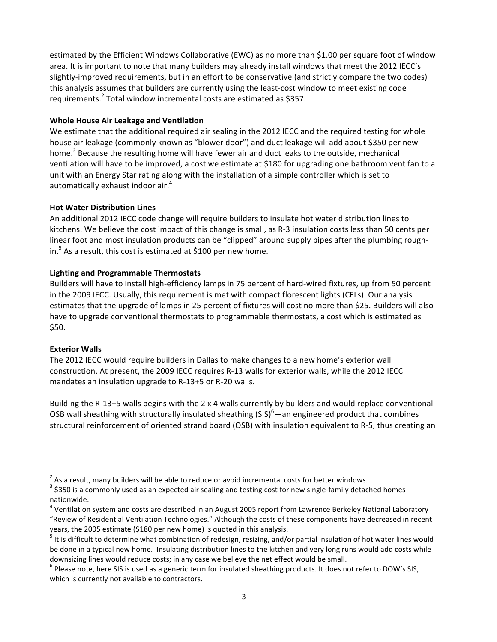estimated by the Efficient Windows Collaborative (EWC) as no more than \$1.00 per square foot of window area. It is important to note that many builders may already install windows that meet the 2012 IECC's slightly-improved requirements, but in an effort to be conservative (and strictly compare the two codes) this analysis assumes that builders are currently using the least-cost window to meet existing code requirements.<sup>2</sup> Total window incremental costs are estimated as \$357.

## **Whole House Air Leakage and Ventilation**

We estimate that the additional required air sealing in the 2012 IECC and the required testing for whole house air leakage (commonly known as "blower door") and duct leakage will add about \$350 per new home.<sup>3</sup> Because the resulting home will have fewer air and duct leaks to the outside, mechanical ventilation will have to be improved, a cost we estimate at \$180 for upgrading one bathroom vent fan to a unit with an Energy Star rating along with the installation of a simple controller which is set to automatically exhaust indoor air. $4$ 

# **Hot Water Distribution Lines**

An additional 2012 IECC code change will require builders to insulate hot water distribution lines to kitchens. We believe the cost impact of this change is small, as R-3 insulation costs less than 50 cents per linear foot and most insulation products can be "clipped" around supply pipes after the plumbing roughin.<sup>5</sup> As a result, this cost is estimated at \$100 per new home.

# **Lighting!and!Programmable!Thermostats**

Builders will have to install high-efficiency lamps in 75 percent of hard-wired fixtures, up from 50 percent in the 2009 IECC. Usually, this requirement is met with compact florescent lights (CFLs). Our analysis estimates that the upgrade of lamps in 25 percent of fixtures will cost no more than \$25. Builders will also have to upgrade conventional thermostats to programmable thermostats, a cost which is estimated as  $$50.$ 

## **Exterior Walls**

The 2012 IECC would require builders in Dallas to make changes to a new home's exterior wall construction. At present, the 2009 IECC requires R-13 walls for exterior walls, while the 2012 IECC mandates an insulation upgrade to  $R-13+5$  or  $R-20$  walls.

Building the R-13+5 walls begins with the 2 x 4 walls currently by builders and would replace conventional OSB wall sheathing with structurally insulated sheathing (SIS)<sup>6</sup>—an engineered product that combines structural reinforcement of oriented strand board (OSB) with insulation equivalent to R-5, thus creating an

 $\frac{1}{2}$  $^2$  As a result, many builders will be able to reduce or avoid incremental costs for better windows.

 $^3$  \$350 is a commonly used as an expected air sealing and testing cost for new single-family detached homes nationwide.

 $4$  Ventilation system and costs are described in an August 2005 report from Lawrence Berkeley National Laboratory "Review of Residential Ventilation Technologies." Although the costs of these components have decreased in recent years, the 2005 estimate (\$180 per new home) is quoted in this analysis.

 $^5$  It is difficult to determine what combination of redesign, resizing, and/or partial insulation of hot water lines would be done in a typical new home. Insulating distribution lines to the kitchen and very long runs would add costs while downsizing lines would reduce costs; in any case we believe the net effect would be small. <sup>6</sup> Please note, here SIS is used as a generic term for insulated sheathing products. It does not refer to DOW's SIS,

which is currently not available to contractors.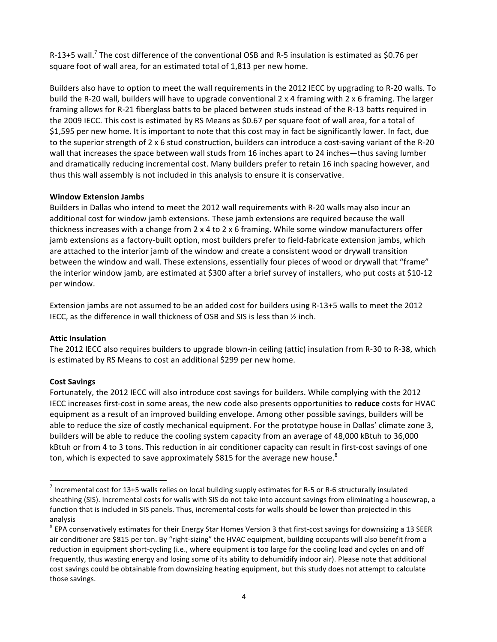R-13+5 wall.<sup>7</sup> The cost difference of the conventional OSB and R-5 insulation is estimated as \$0.76 per square foot of wall area, for an estimated total of 1,813 per new home.

Builders also have to option to meet the wall requirements in the 2012 IECC by upgrading to R-20 walls. To build the R-20 wall, builders will have to upgrade conventional  $2 \times 4$  framing with  $2 \times 6$  framing. The larger framing allows for R-21 fiberglass batts to be placed between studs instead of the R-13 batts required in the 2009 IECC. This cost is estimated by RS Means as \$0.67 per square foot of wall area, for a total of \$1,595 per new home. It is important to note that this cost may in fact be significantly lower. In fact, due to the superior strength of  $2 \times 6$  stud construction, builders can introduce a cost-saving variant of the R-20 wall that increases the space between wall studs from 16 inches apart to 24 inches—thus saving lumber and dramatically reducing incremental cost. Many builders prefer to retain 16 inch spacing however, and thus this wall assembly is not included in this analysis to ensure it is conservative.

## **Window Extension Jambs**

Builders in Dallas who intend to meet the 2012 wall requirements with R-20 walls may also incur an additional cost for window jamb extensions. These jamb extensions are required because the wall thickness increases with a change from  $2 \times 4$  to  $2 \times 6$  framing. While some window manufacturers offer jamb extensions as a factory-built option, most builders prefer to field-fabricate extension jambs, which are attached to the interior jamb of the window and create a consistent wood or drywall transition between the window and wall. These extensions, essentially four pieces of wood or drywall that "frame" the interior window jamb, are estimated at \$300 after a brief survey of installers, who put costs at \$10-12 per window.

Extension jambs are not assumed to be an added cost for builders using R-13+5 walls to meet the 2012 IECC, as the difference in wall thickness of OSB and SIS is less than  $\frac{1}{2}$  inch.

#### **Attic Insulation**

The 2012 IECC also requires builders to upgrade blown-in ceiling (attic) insulation from R-30 to R-38, which is estimated by RS Means to cost an additional \$299 per new home.

## **Cost!Savings**

Fortunately, the 2012 IECC will also introduce cost savings for builders. While complying with the 2012 IECC increases first-cost in some areas, the new code also presents opportunities to reduce costs for HVAC equipment as a result of an improved building envelope. Among other possible savings, builders will be able to reduce the size of costly mechanical equipment. For the prototype house in Dallas' climate zone 3, builders will be able to reduce the cooling system capacity from an average of 48,000 kBtuh to 36,000 kBtuh or from 4 to 3 tons. This reduction in air conditioner capacity can result in first-cost savings of one ton, which is expected to save approximately \$815 for the average new house.<sup>8</sup>

<sup>–&</sup>lt;br>7  $^7$  Incremental cost for 13+5 walls relies on local building supply estimates for R-5 or R-6 structurally insulated sheathing (SIS). Incremental costs for walls with SIS do not take into account savings from eliminating a housewrap, a function that is included in SIS panels. Thus, incremental costs for walls should be lower than projected in this analysis

 $8$  EPA conservatively estimates for their Energy Star Homes Version 3 that first-cost savings for downsizing a 13 SEER air conditioner are \$815 per ton. By "right-sizing" the HVAC equipment, building occupants will also benefit from a reduction in equipment short-cycling (i.e., where equipment is too large for the cooling load and cycles on and off frequently, thus wasting energy and losing some of its ability to dehumidify indoor air). Please note that additional cost savings could be obtainable from downsizing heating equipment, but this study does not attempt to calculate those savings.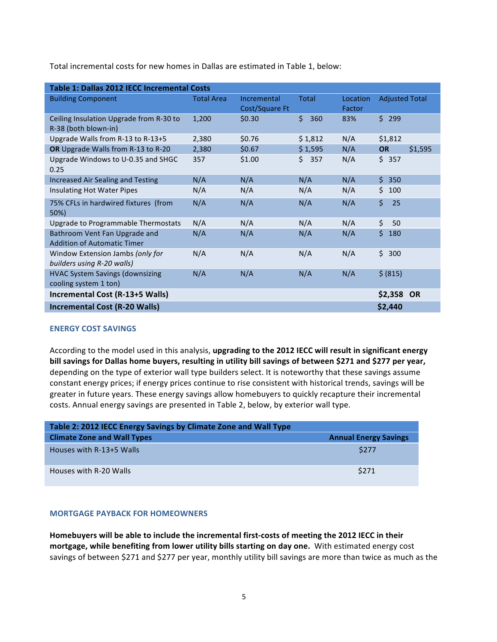Total incremental costs for new homes in Dallas are estimated in Table 1, below:

| Table 1: Dallas 2012 IECC Incremental Costs                         |                   |                               |              |                    |                       |         |  |
|---------------------------------------------------------------------|-------------------|-------------------------------|--------------|--------------------|-----------------------|---------|--|
| <b>Building Component</b>                                           | <b>Total Area</b> | Incremental<br>Cost/Square Ft | <b>Total</b> | Location<br>Factor | <b>Adjusted Total</b> |         |  |
| Ceiling Insulation Upgrade from R-30 to<br>R-38 (both blown-in)     | 1,200             | \$0.30                        | \$<br>360    | 83%                | \$299                 |         |  |
| Upgrade Walls from R-13 to R-13+5                                   | 2,380             | \$0.76                        | \$1,812      | N/A                | \$1,812               |         |  |
| OR Upgrade Walls from R-13 to R-20                                  | 2,380             | \$0.67                        | \$1,595      | N/A                | <b>OR</b>             | \$1,595 |  |
| Upgrade Windows to U-0.35 and SHGC<br>0.25                          | 357               | \$1.00                        | \$357        | N/A                | \$357                 |         |  |
| Increased Air Sealing and Testing                                   | N/A               | N/A                           | N/A          | N/A                | $\mathsf{S}$<br>350   |         |  |
| Insulating Hot Water Pipes                                          | N/A               | N/A                           | N/A          | N/A                | \$100                 |         |  |
| 75% CFLs in hardwired fixtures (from<br>50%)                        | N/A               | N/A                           | N/A          | N/A                | Ś.<br>25              |         |  |
| Upgrade to Programmable Thermostats                                 | N/A               | N/A                           | N/A          | N/A                | \$<br>50              |         |  |
| Bathroom Vent Fan Upgrade and<br><b>Addition of Automatic Timer</b> | N/A               | N/A                           | N/A          | N/A                | Ś.<br>180             |         |  |
| Window Extension Jambs (only for<br>builders using R-20 walls)      | N/A               | N/A                           | N/A          | N/A                | \$300                 |         |  |
| <b>HVAC System Savings (downsizing</b><br>cooling system 1 ton)     | N/A               | N/A                           | N/A          | N/A                | \$ (815)              |         |  |
| Incremental Cost (R-13+5 Walls)                                     |                   |                               |              |                    | \$2,358 OR            |         |  |
| <b>Incremental Cost (R-20 Walls)</b>                                |                   |                               |              |                    | \$2,440               |         |  |

#### **ENERGY COST SAVINGS**

According to the model used in this analysis, upgrading to the 2012 IECC will result in significant energy **bill** savings for Dallas home buyers, resulting in utility bill savings of between \$271 and \$277 per year, depending on the type of exterior wall type builders select. It is noteworthy that these savings assume constant energy prices; if energy prices continue to rise consistent with historical trends, savings will be greater in future years. These energy savings allow homebuyers to quickly recapture their incremental costs. Annual energy savings are presented in Table 2, below, by exterior wall type.

| Table 2: 2012 IECC Energy Savings by Climate Zone and Wall Type |                              |  |  |  |  |  |  |
|-----------------------------------------------------------------|------------------------------|--|--|--|--|--|--|
| <b>Climate Zone and Wall Types</b>                              | <b>Annual Energy Savings</b> |  |  |  |  |  |  |
| Houses with R-13+5 Walls                                        | \$277                        |  |  |  |  |  |  |
| Houses with R-20 Walls                                          | \$271                        |  |  |  |  |  |  |

#### **MORTGAGE PAYBACK FOR HOMEOWNERS**

Homebuyers will be able to include the incremental first-costs of meeting the 2012 IECC in their mortgage, while benefiting from lower utility bills starting on day one. With estimated energy cost savings of between \$271 and \$277 per year, monthly utility bill savings are more than twice as much as the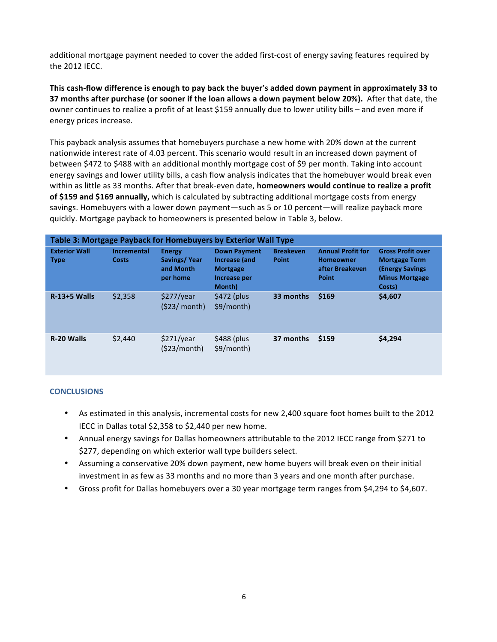additional mortgage payment needed to cover the added first-cost of energy saving features required by the 2012 IECC.

This cash-flow difference is enough to pay back the buyer's added down payment in approximately 33 to **37 months after purchase (or sooner if the loan allows a down payment below 20%). After that date, the** owner continues to realize a profit of at least \$159 annually due to lower utility bills – and even more if energy prices increase.

This payback analysis assumes that homebuyers purchase a new home with 20% down at the current nationwide interest rate of 4.03 percent. This scenario would result in an increased down payment of between \$472 to \$488 with an additional monthly mortgage cost of \$9 per month. Taking into account energy savings and lower utility bills, a cash flow analysis indicates that the homebuyer would break even within as little as 33 months. After that break-even date, **homeowners would continue to realize a profit of \$159 and \$169 annually,** which is calculated by subtracting additional mortgage costs from energy savings. Homebuyers with a lower down payment—such as 5 or 10 percent—will realize payback more quickly. Mortgage payback to homeowners is presented below in Table 3, below.

| Table 3: Mortgage Payback for Homebuyers by Exterior Wall Type |                                    |                                                        |                                                                                   |                           |                                                                          |                                                                                                                |  |  |  |  |  |
|----------------------------------------------------------------|------------------------------------|--------------------------------------------------------|-----------------------------------------------------------------------------------|---------------------------|--------------------------------------------------------------------------|----------------------------------------------------------------------------------------------------------------|--|--|--|--|--|
| <b>Exterior Wall</b><br><b>Type</b>                            | <b>Incremental</b><br><b>Costs</b> | <b>Energy</b><br>Savings/Year<br>and Month<br>per home | <b>Down Payment</b><br>Increase (and<br><b>Mortgage</b><br>Increase per<br>Month) | <b>Breakeven</b><br>Point | <b>Annual Profit for</b><br><b>Homeowner</b><br>after Breakeven<br>Point | <b>Gross Profit over</b><br><b>Mortgage Term</b><br><b>(Energy Savings)</b><br><b>Minus Mortgage</b><br>Costs) |  |  |  |  |  |
| $R-13+5$ Walls                                                 | \$2,358                            | \$277/year<br>(523/month)                              | $$472$ (plus<br>\$9/month)                                                        | 33 months                 | \$169                                                                    | \$4,607                                                                                                        |  |  |  |  |  |
| R-20 Walls                                                     | \$2,440                            | \$271/year<br>(523/month)                              | \$488 (plus<br>\$9/month)                                                         | 37 months                 | \$159                                                                    | \$4,294                                                                                                        |  |  |  |  |  |

## **CONCLUSIONS**

- As estimated in this analysis, incremental costs for new 2,400 square foot homes built to the 2012 IECC in Dallas total \$2,358 to \$2,440 per new home.
- Annual energy savings for Dallas homeowners attributable to the 2012 IECC range from \$271 to \$277, depending on which exterior wall type builders select.
- Assuming a conservative 20% down payment, new home buyers will break even on their initial investment in as few as 33 months and no more than 3 years and one month after purchase.
- Gross profit for Dallas homebuyers over a 30 year mortgage term ranges from \$4,294 to \$4,607.